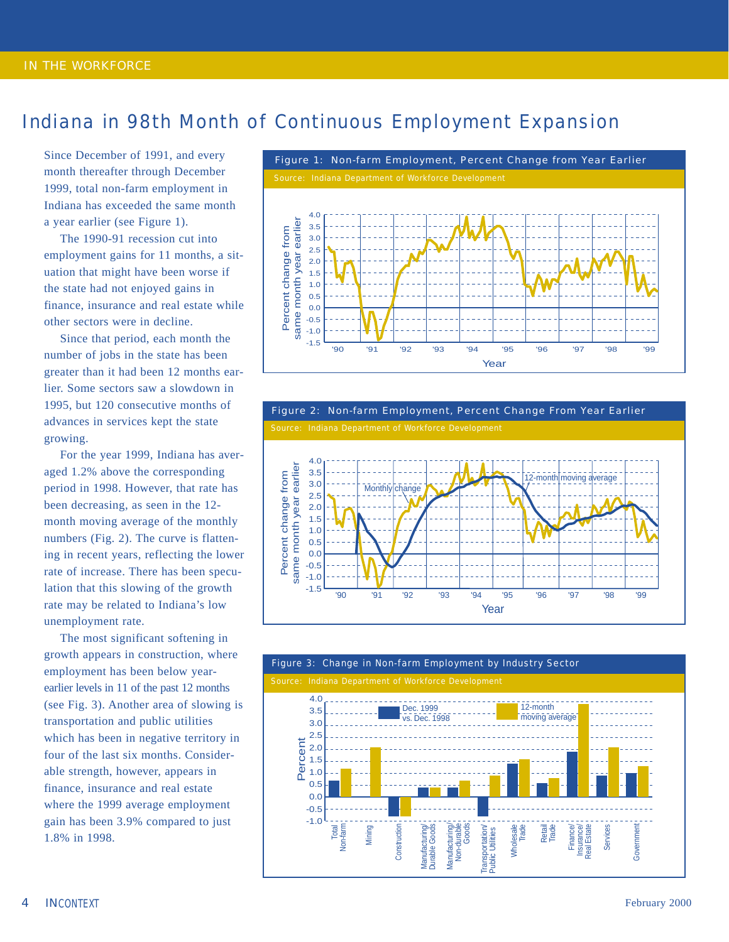## Indiana in 98th Month of Continuous Employment Expansion

Since December of 1991, and every month thereafter through December 1999, total non-farm employment in Indiana has exceeded the same month a year earlier (see Figure 1).

The 1990-91 recession cut into employment gains for 11 months, a situation that might have been worse if the state had not enjoyed gains in finance, insurance and real estate while other sectors were in decline.

Since that period, each month the number of jobs in the state has been greater than it had been 12 months earlier. Some sectors saw a slowdown in 1995, but 120 consecutive months of advances in services kept the state growing.

For the year 1999, Indiana has averaged 1.2% above the corresponding period in 1998. However, that rate has been decreasing, as seen in the 12 month moving average of the monthly numbers (Fig. 2). The curve is flattening in recent years, reflecting the lower rate of increase. There has been speculation that this slowing of the growth rate may be related to Indiana's low unemployment rate.

The most significant softening in growth appears in construction, where employment has been below yearearlier levels in 11 of the past 12 months (see Fig. 3). Another area of slowing is transportation and public utilities which has been in negative territory in four of the last six months. Considerable strength, however, appears in finance, insurance and real estate where the 1999 average employment gain has been 3.9% compared to just 1.8% in 1998.